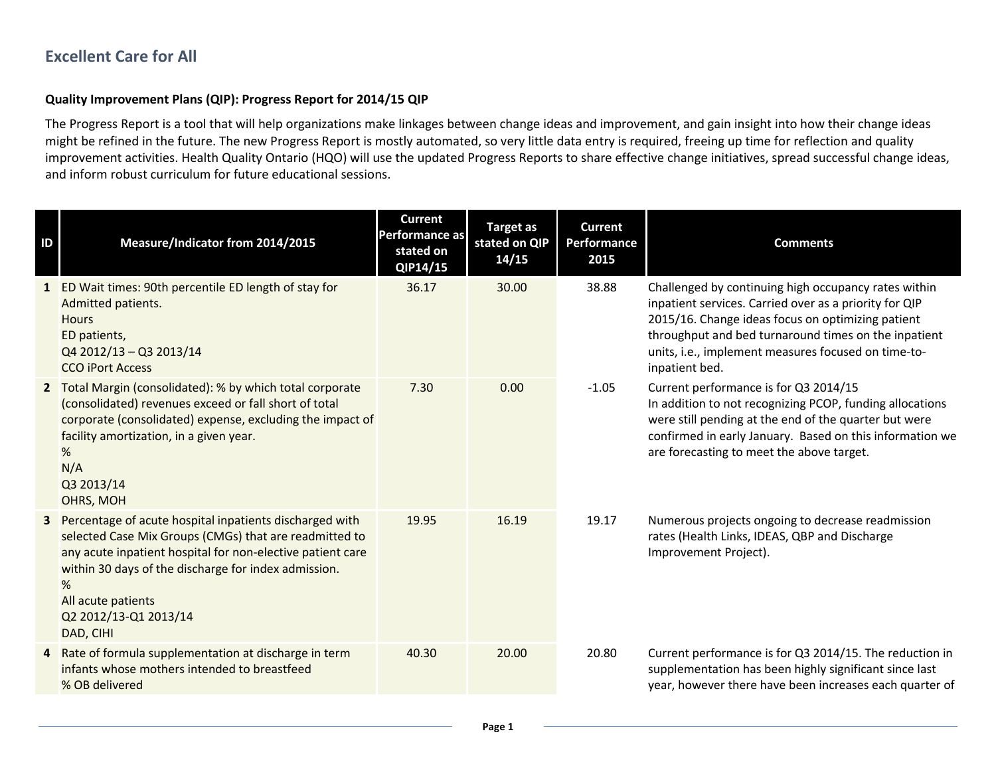## **Excellent Care for All**

## **Quality Improvement Plans (QIP): Progress Report for 2014/15 QIP**

The Progress Report is a tool that will help organizations make linkages between change ideas and improvement, and gain insight into how their change ideas might be refined in the future. The new Progress Report is mostly automated, so very little data entry is required, freeing up time for reflection and quality improvement activities. Health Quality Ontario (HQO) will use the updated Progress Reports to share effective change initiatives, spread successful change ideas, and inform robust curriculum for future educational sessions.

| ID | Measure/Indicator from 2014/2015                                                                                                                                                                                                                                                                         | <b>Current</b><br><b>Performance as</b><br>stated on<br>QIP14/15 | <b>Target as</b><br>stated on QIP<br>14/15 | <b>Current</b><br>Performance<br>2015 | <b>Comments</b>                                                                                                                                                                                                                                                                                      |
|----|----------------------------------------------------------------------------------------------------------------------------------------------------------------------------------------------------------------------------------------------------------------------------------------------------------|------------------------------------------------------------------|--------------------------------------------|---------------------------------------|------------------------------------------------------------------------------------------------------------------------------------------------------------------------------------------------------------------------------------------------------------------------------------------------------|
|    | 1 ED Wait times: 90th percentile ED length of stay for<br>Admitted patients.<br><b>Hours</b><br>ED patients,<br>Q4 2012/13 - Q3 2013/14<br><b>CCO iPort Access</b>                                                                                                                                       | 36.17                                                            | 30.00                                      | 38.88                                 | Challenged by continuing high occupancy rates within<br>inpatient services. Carried over as a priority for QIP<br>2015/16. Change ideas focus on optimizing patient<br>throughput and bed turnaround times on the inpatient<br>units, i.e., implement measures focused on time-to-<br>inpatient bed. |
|    | 2 Total Margin (consolidated): % by which total corporate<br>(consolidated) revenues exceed or fall short of total<br>corporate (consolidated) expense, excluding the impact of<br>facility amortization, in a given year.<br>%<br>N/A<br>Q3 2013/14<br>OHRS, MOH                                        | 7.30                                                             | 0.00                                       | $-1.05$                               | Current performance is for Q3 2014/15<br>In addition to not recognizing PCOP, funding allocations<br>were still pending at the end of the quarter but were<br>confirmed in early January. Based on this information we<br>are forecasting to meet the above target.                                  |
| 3  | Percentage of acute hospital inpatients discharged with<br>selected Case Mix Groups (CMGs) that are readmitted to<br>any acute inpatient hospital for non-elective patient care<br>within 30 days of the discharge for index admission.<br>%<br>All acute patients<br>Q2 2012/13-Q1 2013/14<br>DAD, CIHI | 19.95                                                            | 16.19                                      | 19.17                                 | Numerous projects ongoing to decrease readmission<br>rates (Health Links, IDEAS, QBP and Discharge<br>Improvement Project).                                                                                                                                                                          |
|    | 4 Rate of formula supplementation at discharge in term<br>infants whose mothers intended to breastfeed<br>% OB delivered                                                                                                                                                                                 | 40.30                                                            | 20.00                                      | 20.80                                 | Current performance is for Q3 2014/15. The reduction in<br>supplementation has been highly significant since last<br>year, however there have been increases each quarter of                                                                                                                         |